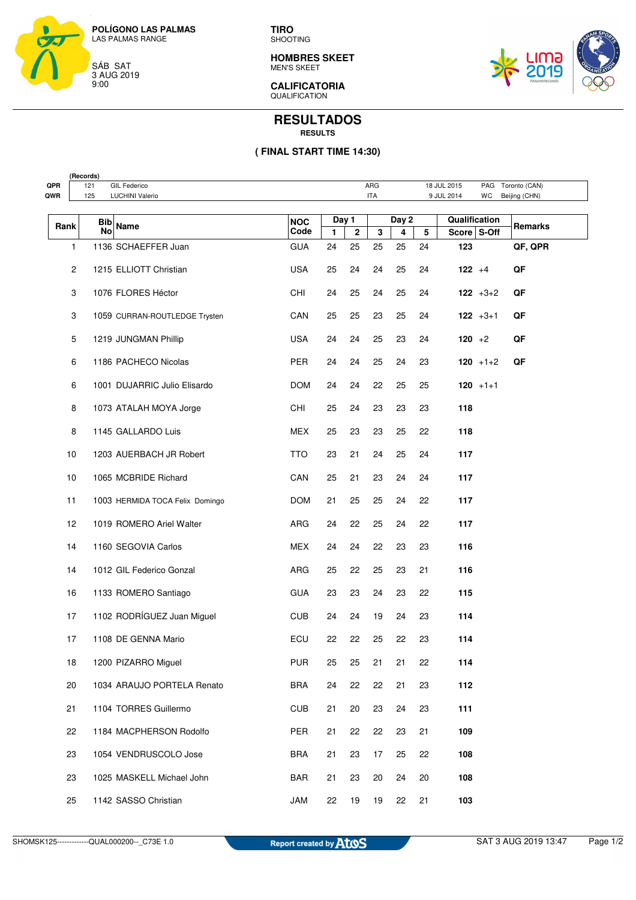

**TIRO** SHOOTING

**HOMBRES SKEET** MEN'S SKEET



**CALIFICATORIA**  QUALIFICATION

## **RESULTADOS RESULTS**

## **( FINAL START TIME 14:30)**

| (Records)                                                                               |                |                                                                          |                                 |            |              |             |       |    |    |               |               |         |
|-----------------------------------------------------------------------------------------|----------------|--------------------------------------------------------------------------|---------------------------------|------------|--------------|-------------|-------|----|----|---------------|---------------|---------|
| QPR                                                                                     |                | 121<br>ARG<br>18 JUL 2015<br>Toronto (CAN)<br><b>GIL Federico</b><br>PAG |                                 |            |              |             |       |    |    |               |               |         |
| 125<br>QWR<br><b>LUCHINI Valerio</b><br><b>ITA</b><br>9 JUL 2014<br>WC<br>Beijing (CHN) |                |                                                                          |                                 |            |              |             |       |    |    |               |               |         |
|                                                                                         |                | Bib                                                                      | <b>Name</b>                     | <b>NOC</b> | Day 1        |             | Day 2 |    |    | Qualification |               |         |
| Rank                                                                                    |                | No                                                                       |                                 | Code       | $\mathbf{1}$ | $\mathbf 2$ | 3     | 4  | 5  | Score S-Off   |               | Remarks |
|                                                                                         | 1              |                                                                          | 1136 SCHAEFFER Juan             | <b>GUA</b> | 24           | 25          | 25    | 25 | 24 | 123           |               | QF, QPR |
|                                                                                         | $\overline{c}$ |                                                                          | 1215 ELLIOTT Christian          | <b>USA</b> | 25           | 24          | 24    | 25 | 24 | $122 + 4$     |               | QF      |
|                                                                                         | 3              |                                                                          | 1076 FLORES Héctor              | CHI        | 24           | 25          | 24    | 25 | 24 |               | $122 + 3 + 2$ | QF      |
|                                                                                         | 3              |                                                                          | 1059 CURRAN-ROUTLEDGE Trysten   | CAN        | 25           | 25          | 23    | 25 | 24 |               | $122 + 3 + 1$ | QF      |
|                                                                                         | 5              |                                                                          | 1219 JUNGMAN Phillip            | <b>USA</b> | 24           | 24          | 25    | 23 | 24 | $120 + 2$     |               | QF      |
|                                                                                         | 6              |                                                                          | 1186 PACHECO Nicolas            | <b>PER</b> | 24           | 24          | 25    | 24 | 23 |               | $120 + 1 + 2$ | QF      |
|                                                                                         | 6              |                                                                          | 1001 DUJARRIC Julio Elisardo    | <b>DOM</b> | 24           | 24          | 22    | 25 | 25 |               | $120 + 1 + 1$ |         |
|                                                                                         | 8              |                                                                          | 1073 ATALAH MOYA Jorge          | CHI        | 25           | 24          | 23    | 23 | 23 | 118           |               |         |
|                                                                                         | 8              |                                                                          | 1145 GALLARDO Luis              | MEX        | 25           | 23          | 23    | 25 | 22 | 118           |               |         |
|                                                                                         | 10             |                                                                          | 1203 AUERBACH JR Robert         | <b>TTO</b> | 23           | 21          | 24    | 25 | 24 | 117           |               |         |
|                                                                                         | 10             |                                                                          | 1065 MCBRIDE Richard            | CAN        | 25           | 21          | 23    | 24 | 24 | 117           |               |         |
|                                                                                         | 11             |                                                                          | 1003 HERMIDA TOCA Felix Domingo | <b>DOM</b> | 21           | 25          | 25    | 24 | 22 | 117           |               |         |
|                                                                                         | 12             |                                                                          | 1019 ROMERO Ariel Walter        | ARG        | 24           | 22          | 25    | 24 | 22 | 117           |               |         |
|                                                                                         | 14             |                                                                          | 1160 SEGOVIA Carlos             | <b>MEX</b> | 24           | 24          | 22    | 23 | 23 | 116           |               |         |
|                                                                                         | 14             |                                                                          | 1012 GIL Federico Gonzal        | ARG        | 25           | 22          | 25    | 23 | 21 | 116           |               |         |
|                                                                                         | 16             |                                                                          | 1133 ROMERO Santiago            | <b>GUA</b> | 23           | 23          | 24    | 23 | 22 | 115           |               |         |
|                                                                                         | 17             |                                                                          | 1102 RODRÍGUEZ Juan Miguel      | <b>CUB</b> | 24           | 24          | 19    | 24 | 23 | 114           |               |         |
|                                                                                         | 17             |                                                                          | 1108 DE GENNA Mario             | ECU        | 22           | 22          | 25    | 22 | 23 | 114           |               |         |
|                                                                                         | 18             |                                                                          | 1200 PIZARRO Miguel             | <b>PUR</b> | 25           | 25          | 21    | 21 | 22 | 114           |               |         |
|                                                                                         | 20             |                                                                          | 1034 ARAUJO PORTELA Renato      | <b>BRA</b> | 24           | 22          | 22    | 21 | 23 | 112           |               |         |
|                                                                                         | 21             |                                                                          | 1104 TORRES Guillermo           | <b>CUB</b> | 21           | 20          | 23    | 24 | 23 | 111           |               |         |
|                                                                                         | 22             |                                                                          | 1184 MACPHERSON Rodolfo         | PER        | 21           | 22          | 22    | 23 | 21 | 109           |               |         |
|                                                                                         | 23             |                                                                          | 1054 VENDRUSCOLO Jose           | <b>BRA</b> | 21           | 23          | 17    | 25 | 22 | 108           |               |         |
|                                                                                         | 23             |                                                                          | 1025 MASKELL Michael John       | <b>BAR</b> | 21           | 23          | 20    | 24 | 20 | 108           |               |         |
|                                                                                         | 25             |                                                                          | 1142 SASSO Christian            | <b>JAM</b> | 22           | 19          | 19    | 22 | 21 | 103           |               |         |